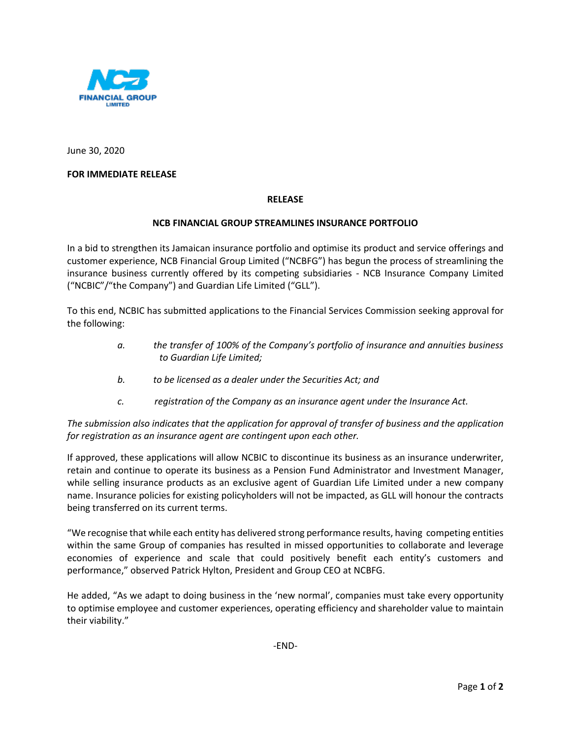

June 30, 2020

# **FOR IMMEDIATE RELEASE**

## **RELEASE**

## **NCB FINANCIAL GROUP STREAMLINES INSURANCE PORTFOLIO**

In a bid to strengthen its Jamaican insurance portfolio and optimise its product and service offerings and customer experience, NCB Financial Group Limited ("NCBFG") has begun the process of streamlining the insurance business currently offered by its competing subsidiaries - NCB Insurance Company Limited ("NCBIC"/"the Company") and Guardian Life Limited ("GLL").

To this end, NCBIC has submitted applications to the Financial Services Commission seeking approval for the following:

- *a. the transfer of 100% of the Company's portfolio of insurance and annuities business to Guardian Life Limited;*
- *b. to be licensed as a dealer under the Securities Act; and*
- *c. registration of the Company as an insurance agent under the Insurance Act.*

*The submission also indicates that the application for approval of transfer of business and the application for registration as an insurance agent are contingent upon each other.* 

If approved, these applications will allow NCBIC to discontinue its business as an insurance underwriter, retain and continue to operate its business as a Pension Fund Administrator and Investment Manager, while selling insurance products as an exclusive agent of Guardian Life Limited under a new company name. Insurance policies for existing policyholders will not be impacted, as GLL will honour the contracts being transferred on its current terms.

"We recognise that while each entity has delivered strong performance results, having competing entities within the same Group of companies has resulted in missed opportunities to collaborate and leverage economies of experience and scale that could positively benefit each entity's customers and performance," observed Patrick Hylton, President and Group CEO at NCBFG.

He added, "As we adapt to doing business in the 'new normal', companies must take every opportunity to optimise employee and customer experiences, operating efficiency and shareholder value to maintain their viability."